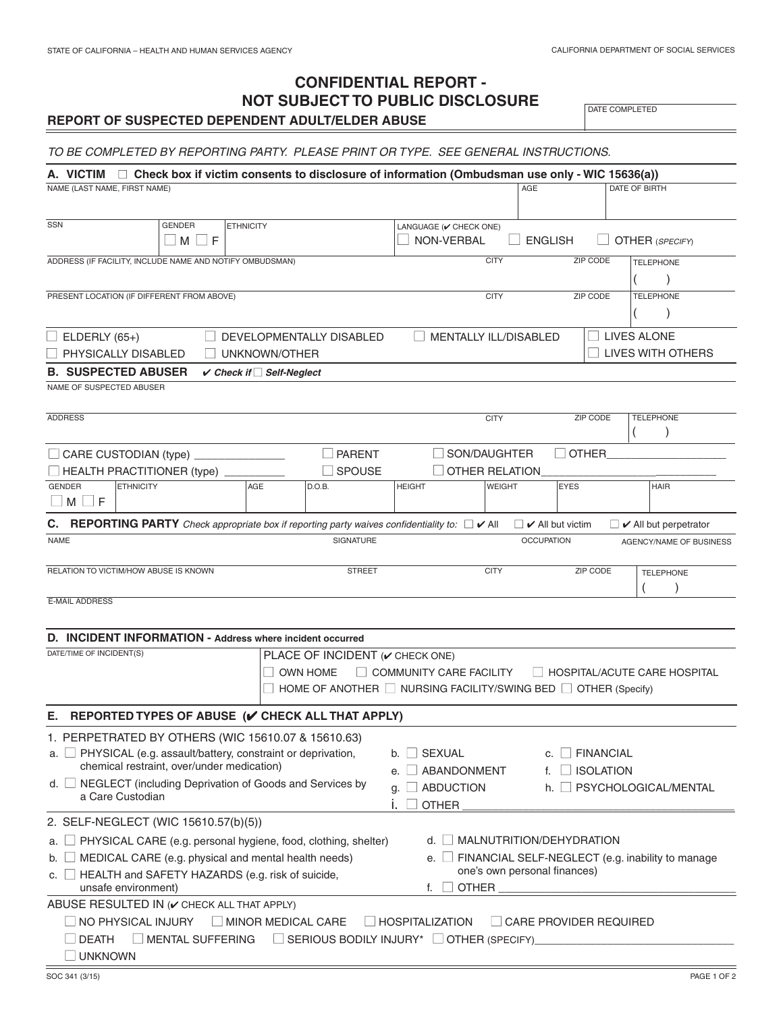# **CONFIDENTIAL REPORT - NOT SUBJECT TO PUBLIC DISCLOSURE REPORT OF SUSPECTED DEPENDENT ADULT/ELDER ABUSE**

DATE COMPLETED

## *TO BE COMPLETED BY REPORTING PARTY. PLEASE PRINT OR TYPE. SEE GENERAL INSTRUCTIONS.*

| NAME (LAST NAME, FIRST NAME)                                                                                             | A. VICTIM $\Box$ Check box if victim consents to disclosure of information (Ombudsman use only - WIC 15636(a))         |                  |                                                     |                                                                |                                                                          |               | AGE                          |                          | DATE OF BIRTH                     |
|--------------------------------------------------------------------------------------------------------------------------|------------------------------------------------------------------------------------------------------------------------|------------------|-----------------------------------------------------|----------------------------------------------------------------|--------------------------------------------------------------------------|---------------|------------------------------|--------------------------|-----------------------------------|
|                                                                                                                          |                                                                                                                        |                  |                                                     |                                                                |                                                                          |               |                              |                          |                                   |
| SSN                                                                                                                      | <b>GENDER</b>                                                                                                          | <b>ETHNICITY</b> |                                                     |                                                                | LANGUAGE (V CHECK ONE)                                                   |               |                              |                          |                                   |
|                                                                                                                          | $\Box$ M $\Box$ F                                                                                                      |                  |                                                     |                                                                | <b>NON-VERBAL</b>                                                        |               | <b>ENGLISH</b>               |                          | <b>OTHER (SPECIFY)</b>            |
|                                                                                                                          | ADDRESS (IF FACILITY, INCLUDE NAME AND NOTIFY OMBUDSMAN)                                                               |                  |                                                     |                                                                |                                                                          | <b>CITY</b>   |                              | <b>ZIP CODE</b>          | <b>TELEPHONE</b>                  |
|                                                                                                                          |                                                                                                                        |                  |                                                     |                                                                |                                                                          |               |                              |                          |                                   |
|                                                                                                                          | PRESENT LOCATION (IF DIFFERENT FROM ABOVE)                                                                             |                  |                                                     |                                                                | <b>CITY</b><br>ZIP CODE<br><b>TELEPHONE</b>                              |               |                              |                          |                                   |
|                                                                                                                          |                                                                                                                        |                  |                                                     |                                                                |                                                                          |               |                              |                          |                                   |
| $\Box$ ELDERLY (65+)                                                                                                     |                                                                                                                        |                  |                                                     | DEVELOPMENTALLY DISABLED                                       | MENTALLY ILL/DISABLED                                                    |               |                              |                          | $\Box$ LIVES ALONE                |
| $\Box$ PHYSICALLY DISABLED<br>UNKNOWN/OTHER                                                                              |                                                                                                                        |                  |                                                     |                                                                |                                                                          |               |                              | $\Box$ LIVES WITH OTHERS |                                   |
|                                                                                                                          | <b>B. SUSPECTED ABUSER</b>                                                                                             |                  | $\checkmark$ Check if $\Box$ Self-Neglect           |                                                                |                                                                          |               |                              |                          |                                   |
| NAME OF SUSPECTED ABUSER                                                                                                 |                                                                                                                        |                  |                                                     |                                                                |                                                                          |               |                              |                          |                                   |
|                                                                                                                          |                                                                                                                        |                  |                                                     |                                                                |                                                                          |               |                              |                          |                                   |
| <b>ADDRESS</b>                                                                                                           |                                                                                                                        |                  |                                                     |                                                                |                                                                          | <b>CITY</b>   |                              | ZIP CODE                 | <b>TELEPHONE</b>                  |
|                                                                                                                          |                                                                                                                        |                  |                                                     |                                                                |                                                                          |               |                              |                          | $\lambda$                         |
|                                                                                                                          | $\Box$ CARE CUSTODIAN (type)                                                                                           |                  |                                                     | $\Box$ PARENT                                                  | SON/DAUGHTER                                                             |               |                              | <b>OTHER</b>             |                                   |
|                                                                                                                          | HEALTH PRACTITIONER (type)                                                                                             |                  |                                                     | <b>SPOUSE</b>                                                  | <b>OTHER RELATION</b>                                                    |               |                              |                          |                                   |
| <b>GENDER</b><br>$\Box$ F<br>M                                                                                           | <b>ETHNICITY</b>                                                                                                       | AGE              |                                                     | D.O.B.                                                         | <b>HEIGHT</b>                                                            | <b>WEIGHT</b> | <b>EYES</b>                  |                          | <b>HAIR</b>                       |
|                                                                                                                          |                                                                                                                        |                  |                                                     |                                                                |                                                                          |               |                              |                          |                                   |
|                                                                                                                          | <b>C.</b> REPORTING PARTY Check appropriate box if reporting party waives confidentiality to: $\Box \triangledown$ All |                  |                                                     |                                                                |                                                                          |               | $\Box \nabla$ All but victim |                          | $\Box \nabla$ All but perpetrator |
| <b>NAME</b>                                                                                                              |                                                                                                                        |                  |                                                     | <b>SIGNATURE</b>                                               |                                                                          |               | <b>OCCUPATION</b>            |                          | AGENCY/NAME OF BUSINESS           |
|                                                                                                                          | RELATION TO VICTIM/HOW ABUSE IS KNOWN                                                                                  |                  |                                                     | <b>STREET</b>                                                  |                                                                          | <b>CITY</b>   |                              | ZIP CODE                 | <b>TELEPHONE</b>                  |
|                                                                                                                          |                                                                                                                        |                  |                                                     |                                                                |                                                                          |               |                              |                          |                                   |
| <b>E-MAIL ADDRESS</b>                                                                                                    |                                                                                                                        |                  |                                                     |                                                                |                                                                          |               |                              |                          |                                   |
|                                                                                                                          |                                                                                                                        |                  |                                                     |                                                                |                                                                          |               |                              |                          |                                   |
|                                                                                                                          | D. INCIDENT INFORMATION - Address where incident occurred                                                              |                  |                                                     |                                                                |                                                                          |               |                              |                          |                                   |
| DATE/TIME OF INCIDENT(S)                                                                                                 |                                                                                                                        |                  |                                                     | PLACE OF INCIDENT (v CHECK ONE)                                |                                                                          |               |                              |                          |                                   |
| <b>OWN HOME</b>                                                                                                          |                                                                                                                        |                  |                                                     | COMMUNITY CARE FACILITY<br>$\Box$ HOSPITAL/ACUTE CARE HOSPITAL |                                                                          |               |                              |                          |                                   |
|                                                                                                                          |                                                                                                                        |                  |                                                     |                                                                | HOME OF ANOTHER $\Box$ NURSING FACILITY/SWING BED $\Box$ OTHER (Specify) |               |                              |                          |                                   |
|                                                                                                                          | E. REPORTED TYPES OF ABUSE ( $\checkmark$ CHECK ALL THAT APPLY)                                                        |                  |                                                     |                                                                |                                                                          |               |                              |                          |                                   |
|                                                                                                                          | 1. PERPETRATED BY OTHERS (WIC 15610.07 & 15610.63)                                                                     |                  |                                                     |                                                                |                                                                          |               |                              |                          |                                   |
|                                                                                                                          | a. $\Box$ PHYSICAL (e.g. assault/battery, constraint or deprivation,                                                   |                  |                                                     |                                                                | <b>SEXUAL</b><br>b.                                                      |               |                              | c. FINANCIAL             |                                   |
|                                                                                                                          | chemical restraint, over/under medication)                                                                             |                  |                                                     |                                                                | ABANDONMENT<br><b>ISOLATION</b><br>f.<br>е.                              |               |                              |                          |                                   |
| NEGLECT (including Deprivation of Goods and Services by<br>$d. \Box$                                                     |                                                                                                                        |                  | <b>ABDUCTION</b><br>SYCHOLOGICAL/MENTAL<br>h.<br>g. |                                                                |                                                                          |               |                              |                          |                                   |
|                                                                                                                          | a Care Custodian                                                                                                       |                  |                                                     |                                                                | <b>OTHER</b>                                                             |               |                              |                          |                                   |
|                                                                                                                          | 2. SELF-NEGLECT (WIC 15610.57(b)(5))                                                                                   |                  |                                                     |                                                                |                                                                          |               |                              |                          |                                   |
| а.                                                                                                                       | PHYSICAL CARE (e.g. personal hygiene, food, clothing, shelter)                                                         |                  |                                                     |                                                                | d.   MALNUTRITION/DEHYDRATION                                            |               |                              |                          |                                   |
| MEDICAL CARE (e.g. physical and mental health needs)<br>□ FINANCIAL SELF-NEGLECT (e.g. inability to manage<br>e. I<br>b. |                                                                                                                        |                  |                                                     |                                                                |                                                                          |               |                              |                          |                                   |
| one's own personal finances)<br>HEALTH and SAFETY HAZARDS (e.g. risk of suicide,<br>c. L                                 |                                                                                                                        |                  |                                                     |                                                                |                                                                          |               |                              |                          |                                   |
|                                                                                                                          | unsafe environment)                                                                                                    |                  |                                                     |                                                                | OTHER<br>f.                                                              |               |                              |                          |                                   |
|                                                                                                                          | ABUSE RESULTED IN (V CHECK ALL THAT APPLY)                                                                             |                  |                                                     |                                                                |                                                                          |               |                              |                          |                                   |
|                                                                                                                          | $\Box$ MINOR MEDICAL CARE<br>$\Box$ NO PHYSICAL INJURY<br>$\Box$ HOSPITALIZATION<br>$\Box$ CARE PROVIDER REQUIRED      |                  |                                                     |                                                                |                                                                          |               |                              |                          |                                   |
| <b>DEATH</b>                                                                                                             | $\Box$ MENTAL SUFFERING                                                                                                |                  |                                                     |                                                                |                                                                          |               |                              |                          |                                   |
| $\Box$ UNKNOWN                                                                                                           |                                                                                                                        |                  |                                                     |                                                                |                                                                          |               |                              |                          |                                   |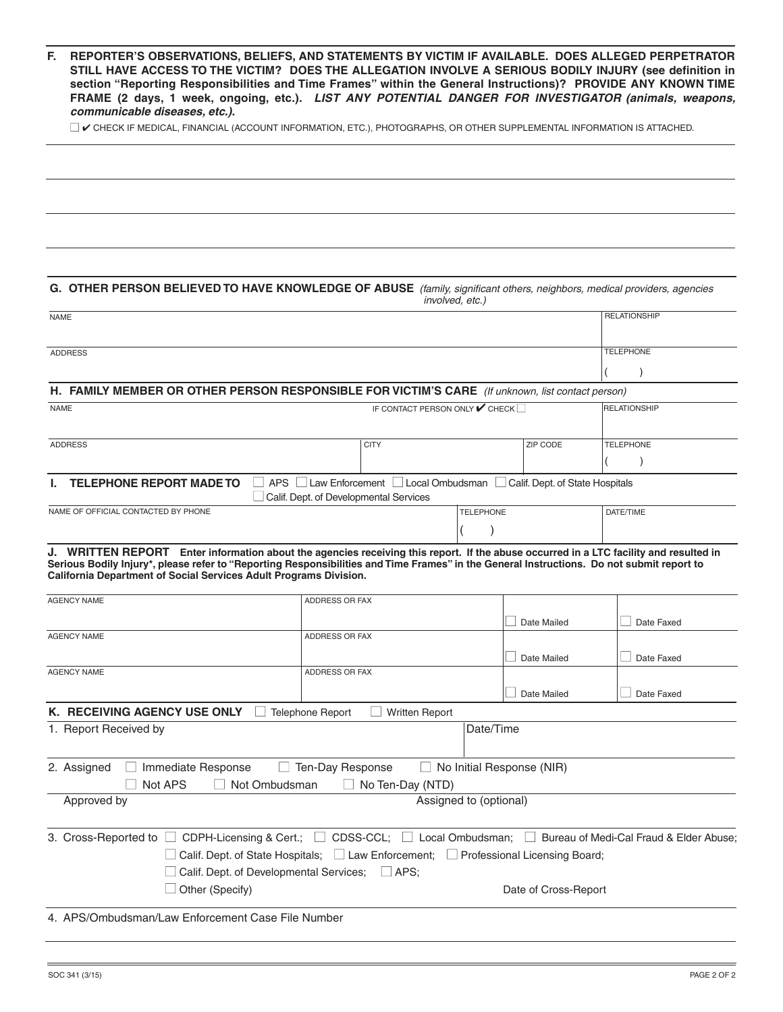| F. REPORTER'S OBSERVATIONS. BELIEFS. AND STATEMENTS BY VICTIM IF AVAILABLE. DOES ALLEGED PERPETRATOR          |
|---------------------------------------------------------------------------------------------------------------|
| STILL HAVE ACCESS TO THE VICTIM? DOES THE ALLEGATION INVOLVE A SERIOUS BODILY INJURY (see definition in       |
| section "Reporting Responsibilities and Time Frames" within the General Instructions)? PROVIDE ANY KNOWN TIME |
| FRAME (2 days, 1 week, ongoing, etc.). LIST ANY POTENTIAL DANGER FOR INVESTIGATOR (animals, weapons,          |
| communicable diseases, etc.).                                                                                 |

 $\Box$   $\checkmark$  CHECK IF MEDICAL, FINANCIAL (ACCOUNT INFORMATION, ETC.), PHOTOGRAPHS, OR OTHER SUPPLEMENTAL INFORMATION IS ATTACHED.

| G. OTHER PERSON BELIEVED TO HAVE KNOWLEDGE OF ABUSE (family, significant others, neighbors, medical providers, agencies<br>involved, etc.)                                                                                                                                                                                                              |                                                                                                                                                                                                                                        |                        |                      |                               |  |  |  |  |  |
|---------------------------------------------------------------------------------------------------------------------------------------------------------------------------------------------------------------------------------------------------------------------------------------------------------------------------------------------------------|----------------------------------------------------------------------------------------------------------------------------------------------------------------------------------------------------------------------------------------|------------------------|----------------------|-------------------------------|--|--|--|--|--|
| <b>NAME</b>                                                                                                                                                                                                                                                                                                                                             |                                                                                                                                                                                                                                        |                        |                      |                               |  |  |  |  |  |
| <b>ADDRESS</b>                                                                                                                                                                                                                                                                                                                                          |                                                                                                                                                                                                                                        |                        |                      | <b>TELEPHONE</b><br>$\lambda$ |  |  |  |  |  |
| <b>FAMILY MEMBER OR OTHER PERSON RESPONSIBLE FOR VICTIM'S CARE</b> (If unknown, list contact person)<br>н. .                                                                                                                                                                                                                                            |                                                                                                                                                                                                                                        |                        |                      |                               |  |  |  |  |  |
| <b>NAME</b>                                                                                                                                                                                                                                                                                                                                             | <b>RELATIONSHIP</b>                                                                                                                                                                                                                    |                        |                      |                               |  |  |  |  |  |
| <b>ADDRESS</b>                                                                                                                                                                                                                                                                                                                                          | <b>CITY</b>                                                                                                                                                                                                                            | ZIP CODE               |                      | <b>TELEPHONE</b>              |  |  |  |  |  |
| <b>TELEPHONE REPORT MADE TO</b><br><b>APS</b><br>□ Law Enforcement □ Local Ombudsman □<br>Calif. Dept. of State Hospitals<br>Calif. Dept. of Developmental Services                                                                                                                                                                                     |                                                                                                                                                                                                                                        |                        |                      |                               |  |  |  |  |  |
| NAME OF OFFICIAL CONTACTED BY PHONE                                                                                                                                                                                                                                                                                                                     |                                                                                                                                                                                                                                        | <b>TELEPHONE</b>       |                      | DATE/TIME                     |  |  |  |  |  |
| J. WRITTEN REPORT Enter information about the agencies receiving this report. If the abuse occurred in a LTC facility and resulted in<br>Serious Bodily Injury*, please refer to "Reporting Responsibilities and Time Frames" in the General Instructions. Do not submit report to<br>California Department of Social Services Adult Programs Division. |                                                                                                                                                                                                                                        |                        |                      |                               |  |  |  |  |  |
| <b>AGENCY NAME</b>                                                                                                                                                                                                                                                                                                                                      | ADDRESS OR FAX                                                                                                                                                                                                                         | Date Mailed            |                      | Date Faxed                    |  |  |  |  |  |
| <b>AGENCY NAME</b>                                                                                                                                                                                                                                                                                                                                      | ADDRESS OR FAX                                                                                                                                                                                                                         | Date Mailed            |                      | Date Faxed                    |  |  |  |  |  |
| <b>AGENCY NAME</b>                                                                                                                                                                                                                                                                                                                                      | ADDRESS OR FAX                                                                                                                                                                                                                         | Date Mailed            |                      | Date Faxed                    |  |  |  |  |  |
| K. RECEIVING AGENCY USE ONLY                                                                                                                                                                                                                                                                                                                            | <b>Telephone Report</b><br><b>Written Report</b>                                                                                                                                                                                       |                        |                      |                               |  |  |  |  |  |
| 1. Report Received by<br>Date/Time                                                                                                                                                                                                                                                                                                                      |                                                                                                                                                                                                                                        |                        |                      |                               |  |  |  |  |  |
| 2. Assigned<br>□ Immediate Response<br>Ten-Day Response<br>$\Box$ No Initial Response (NIR)<br>Not APS<br>Not Ombudsman<br>$\Box$ No Ten-Day (NTD)                                                                                                                                                                                                      |                                                                                                                                                                                                                                        |                        |                      |                               |  |  |  |  |  |
| Approved by                                                                                                                                                                                                                                                                                                                                             |                                                                                                                                                                                                                                        | Assigned to (optional) |                      |                               |  |  |  |  |  |
| 3. Cross-Reported to $\Box$<br>$\Box$ Calif. Dept. of Developmental Services;<br>$\Box$ Other (Specify)                                                                                                                                                                                                                                                 | CDPH-Licensing & Cert.; $\Box$ CDSS-CCL; $\Box$ Local Ombudsman; $\Box$ Bureau of Medi-Cal Fraud & Elder Abuse;<br>$\Box$ Calif. Dept. of State Hospitals; $\Box$ Law Enforcement; $\Box$ Professional Licensing Board;<br>$\Box$ APS: |                        | Date of Cross-Report |                               |  |  |  |  |  |
| 4. APS/Ombudsman/Law Enforcement Case File Number                                                                                                                                                                                                                                                                                                       |                                                                                                                                                                                                                                        |                        |                      |                               |  |  |  |  |  |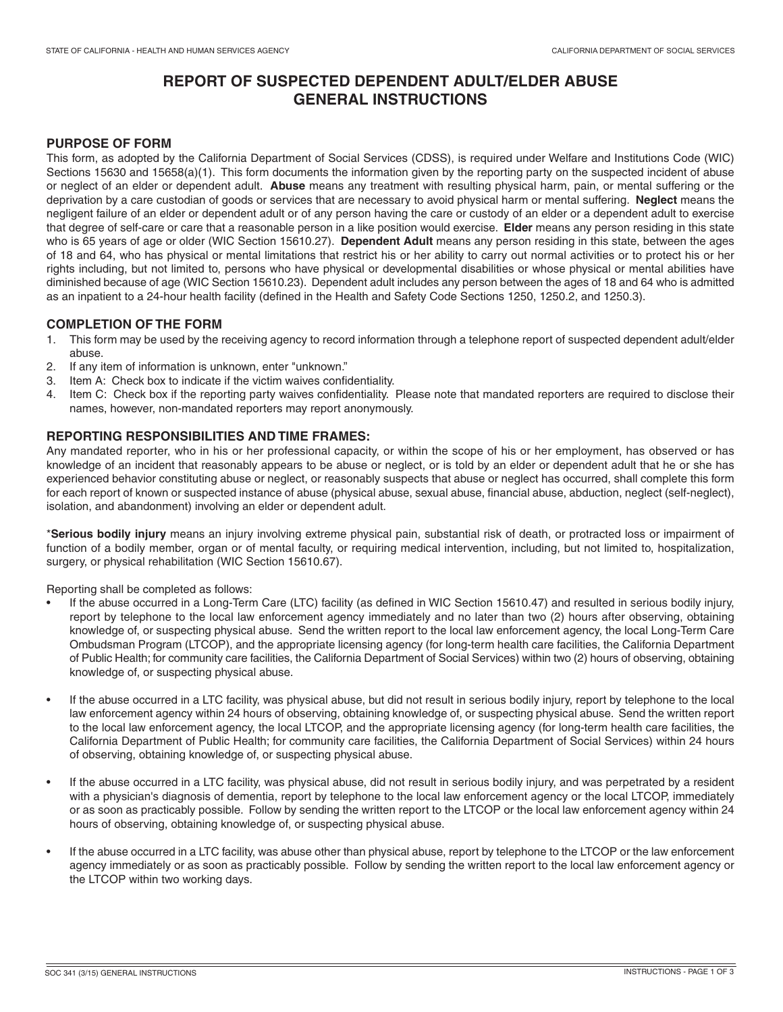# **REPORT OF SUSPECTED DEPENDENT ADULT/ELDER ABUSE GENERAL INSTRUCTIONS**

## **PURPOSE OF FORM**

This form, as adopted by the California Department of Social Services (CDSS), is required under Welfare and Institutions Code (WIC) Sections 15630 and 15658(a)(1). This form documents the information given by the reporting party on the suspected incident of abuse or neglect of an elder or dependent adult. **Abuse** means any treatment with resulting physical harm, pain, or mental suffering or the deprivation by a care custodian of goods or services that are necessary to avoid physical harm or mental suffering. **Neglect** means the negligent failure of an elder or dependent adult or of any person having the care or custody of an elder or a dependent adult to exercise that degree of self-care or care that a reasonable person in a like position would exercise. **Elder** means any person residing in this state who is 65 years of age or older (WIC Section 15610.27). **Dependent Adult** means any person residing in this state, between the ages of 18 and 64, who has physical or mental limitations that restrict his or her ability to carry out normal activities or to protect his or her rights including, but not limited to, persons who have physical or developmental disabilities or whose physical or mental abilities have diminished because of age (WIC Section 15610.23). Dependent adult includes any person between the ages of 18 and 64 who is admitted as an inpatient to a 24-hour health facility (defined in the Health and Safety Code Sections 1250, 1250.2, and 1250.3).

## **COMPLETION OF THE FORM**

- 1. This form may be used by the receiving agency to record information through a telephone report of suspected dependent adult/elder abuse.
- 2. If any item of information is unknown, enter "unknown."
- 3. Item A: Check box to indicate if the victim waives confidentiality.
- 4. Item C: Check box if the reporting party waives confidentiality. Please note that mandated reporters are required to disclose their names, however, non-mandated reporters may report anonymously.

## **REPORTING RESPONSIBILITIES AND TIME FRAMES:**

Any mandated reporter, who in his or her professional capacity, or within the scope of his or her employment, has observed or has knowledge of an incident that reasonably appears to be abuse or neglect, or is told by an elder or dependent adult that he or she has experienced behavior constituting abuse or neglect, or reasonably suspects that abuse or neglect has occurred, shall complete this form for each report of known or suspected instance of abuse (physical abuse, sexual abuse, financial abuse, abduction, neglect (self-neglect), isolation, and abandonment) involving an elder or dependent adult.

\***Serious bodily injury** means an injury involving extreme physical pain, substantial risk of death, or protracted loss or impairment of function of a bodily member, organ or of mental faculty, or requiring medical intervention, including, but not limited to, hospitalization, surgery, or physical rehabilitation (WIC Section 15610.67).

Reporting shall be completed as follows:

- If the abuse occurred in a Long-Term Care (LTC) facility (as defined in WIC Section 15610.47) and resulted in serious bodily injury, report by telephone to the local law enforcement agency immediately and no later than two (2) hours after observing, obtaining knowledge of, or suspecting physical abuse. Send the written report to the local law enforcement agency, the local Long-Term Care Ombudsman Program (LTCOP), and the appropriate licensing agency (for long-term health care facilities, the California Department of Public Health; for community care facilities, the California Department of Social Services) within two (2) hours of observing, obtaining knowledge of, or suspecting physical abuse.
- If the abuse occurred in a LTC facility, was physical abuse, but did not result in serious bodily injury, report by telephone to the local law enforcement agency within 24 hours of observing, obtaining knowledge of, or suspecting physical abuse. Send the written report to the local law enforcement agency, the local LTCOP, and the appropriate licensing agency (for long-term health care facilities, the California Department of Public Health; for community care facilities, the California Department of Social Services) within 24 hours of observing, obtaining knowledge of, or suspecting physical abuse.
- If the abuse occurred in a LTC facility, was physical abuse, did not result in serious bodily injury, and was perpetrated by a resident with a physician's diagnosis of dementia, report by telephone to the local law enforcement agency or the local LTCOP, immediately or as soon as practicably possible. Follow by sending the written report to the LTCOP or the local law enforcement agency within 24 hours of observing, obtaining knowledge of, or suspecting physical abuse.
- If the abuse occurred in a LTC facility, was abuse other than physical abuse, report by telephone to the LTCOP or the law enforcement agency immediately or as soon as practicably possible. Follow by sending the written report to the local law enforcement agency or the LTCOP within two working days.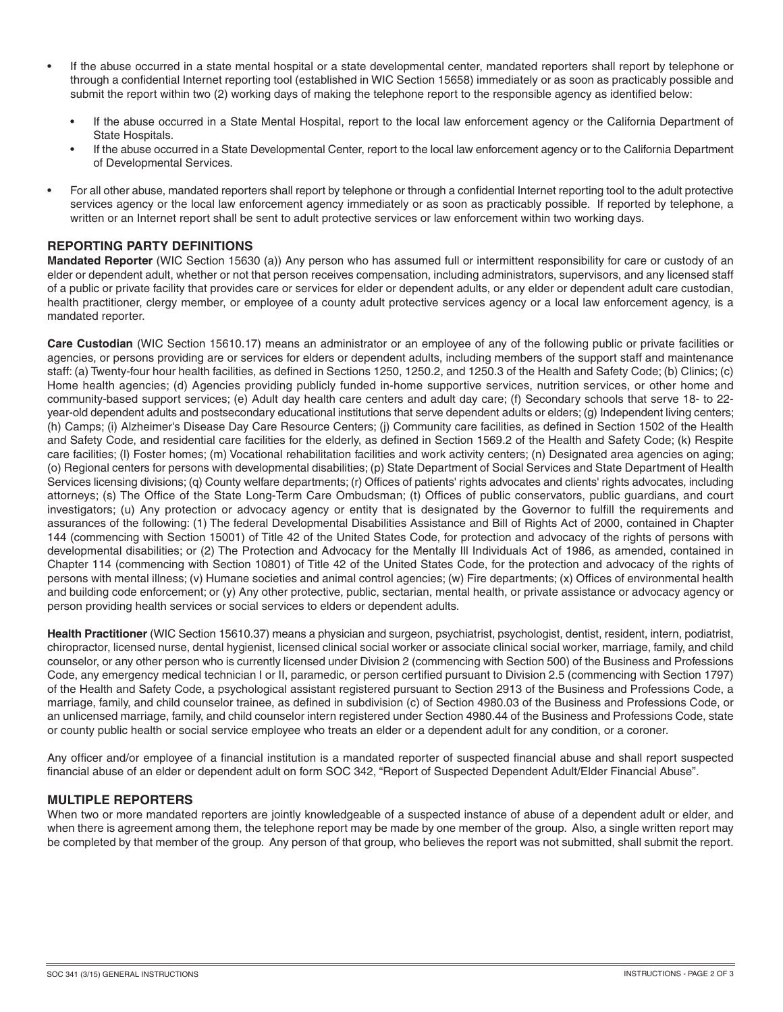- If the abuse occurred in a state mental hospital or a state developmental center, mandated reporters shall report by telephone or through a confidential Internet reporting tool (established in WIC Section 15658) immediately or as soon as practicably possible and submit the report within two (2) working days of making the telephone report to the responsible agency as identified below:
	- If the abuse occurred in a State Mental Hospital, report to the local law enforcement agency or the California Department of State Hospitals.
	- If the abuse occurred in a State Developmental Center, report to the local law enforcement agency or to the California Department of Developmental Services.
- For all other abuse, mandated reporters shall report by telephone or through a confidential Internet reporting tool to the adult protective services agency or the local law enforcement agency immediately or as soon as practicably possible. If reported by telephone, a written or an Internet report shall be sent to adult protective services or law enforcement within two working days.

# **REPORTING PARTY DEFINITIONS**

**Mandated Reporter** (WIC Section 15630 (a)) Any person who has assumed full or intermittent responsibility for care or custody of an elder or dependent adult, whether or not that person receives compensation, including administrators, supervisors, and any licensed staff of a public or private facility that provides care or services for elder or dependent adults, or any elder or dependent adult care custodian, health practitioner, clergy member, or employee of a county adult protective services agency or a local law enforcement agency, is a mandated reporter.

**Care Custodian** (WIC Section 15610.17) means an administrator or an employee of any of the following public or private facilities or agencies, or persons providing are or services for elders or dependent adults, including members of the support staff and maintenance staff: (a) Twenty-four hour health facilities, as defined in Sections 1250, 1250.2, and 1250.3 of the Health and Safety Code; (b) Clinics; (c) Home health agencies; (d) Agencies providing publicly funded in-home supportive services, nutrition services, or other home and community-based support services; (e) Adult day health care centers and adult day care; (f) Secondary schools that serve 18- to 22 year-old dependent adults and postsecondary educational institutions that serve dependent adults or elders; (g) Independent living centers; (h) Camps; (i) Alzheimer's Disease Day Care Resource Centers; (j) Community care facilities, as defined in Section 1502 of the Health and Safety Code, and residential care facilities for the elderly, as defined in Section 1569.2 of the Health and Safety Code; (k) Respite care facilities; (l) Foster homes; (m) Vocational rehabilitation facilities and work activity centers; (n) Designated area agencies on aging; (o) Regional centers for persons with developmental disabilities; (p) State Department of Social Services and State Department of Health Services licensing divisions; (q) County welfare departments; (r) Offices of patients' rights advocates and clients' rights advocates, including attorneys; (s) The Office of the State Long-Term Care Ombudsman; (t) Offices of public conservators, public guardians, and court investigators; (u) Any protection or advocacy agency or entity that is designated by the Governor to fulfill the requirements and assurances of the following: (1) The federal Developmental Disabilities Assistance and Bill of Rights Act of 2000, contained in Chapter 144 (commencing with Section 15001) of Title 42 of the United States Code, for protection and advocacy of the rights of persons with developmental disabilities; or (2) The Protection and Advocacy for the Mentally Ill Individuals Act of 1986, as amended, contained in Chapter 114 (commencing with Section 10801) of Title 42 of the United States Code, for the protection and advocacy of the rights of persons with mental illness; (v) Humane societies and animal control agencies; (w) Fire departments; (x) Offices of environmental health and building code enforcement; or (y) Any other protective, public, sectarian, mental health, or private assistance or advocacy agency or person providing health services or social services to elders or dependent adults.

**Health Practitioner** (WIC Section 15610.37) means a physician and surgeon, psychiatrist, psychologist, dentist, resident, intern, podiatrist, chiropractor, licensed nurse, dental hygienist, licensed clinical social worker or associate clinical social worker, marriage, family, and child counselor, or any other person who is currently licensed under Division 2 (commencing with Section 500) of the Business and Professions Code, any emergency medical technician I or II, paramedic, or person certified pursuant to Division 2.5 (commencing with Section 1797) of the Health and Safety Code, a psychological assistant registered pursuant to Section 2913 of the Business and Professions Code, a marriage, family, and child counselor trainee, as defined in subdivision (c) of Section 4980.03 of the Business and Professions Code, or an unlicensed marriage, family, and child counselor intern registered under Section 4980.44 of the Business and Professions Code, state or county public health or social service employee who treats an elder or a dependent adult for any condition, or a coroner.

Any officer and/or employee of a financial institution is a mandated reporter of suspected financial abuse and shall report suspected financial abuse of an elder or dependent adult on form SOC 342, "Report of Suspected Dependent Adult/Elder Financial Abuse".

#### **MULTIPLE REPORTERS**

When two or more mandated reporters are jointly knowledgeable of a suspected instance of abuse of a dependent adult or elder, and when there is agreement among them, the telephone report may be made by one member of the group. Also, a single written report may be completed by that member of the group. Any person of that group, who believes the report was not submitted, shall submit the report.